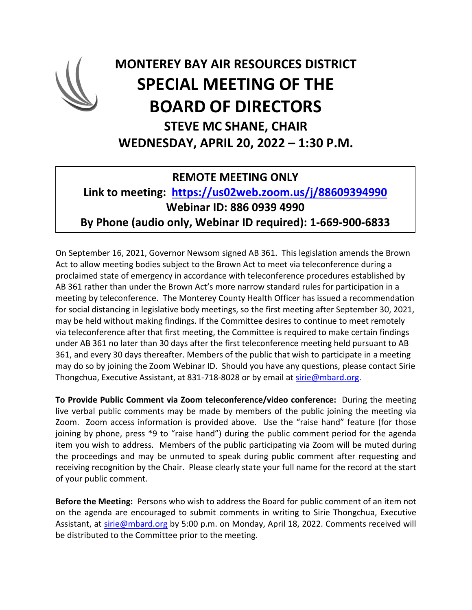

## **MONTEREY BAY AIR RESOURCES DISTRICT SPECIAL MEETING OF THE BOARD OF DIRECTORS STEVE MC SHANE, CHAIR WEDNESDAY, APRIL 20, 2022 – 1:30 P.M.**

## **REMOTE MEETING ONLY**

## **Link to meeting: <https://us02web.zoom.us/j/88609394990> Webinar ID: 886 0939 4990 By Phone (audio only, Webinar ID required): 1-669-900-6833**

On September 16, 2021, Governor Newsom signed AB 361. This legislation amends the Brown Act to allow meeting bodies subject to the Brown Act to meet via teleconference during a proclaimed state of emergency in accordance with teleconference procedures established by AB 361 rather than under the Brown Act's more narrow standard rules for participation in a meeting by teleconference. The Monterey County Health Officer has issued a recommendation for social distancing in legislative body meetings, so the first meeting after September 30, 2021, may be held without making findings. If the Committee desires to continue to meet remotely via teleconference after that first meeting, the Committee is required to make certain findings under AB 361 no later than 30 days after the first teleconference meeting held pursuant to AB 361, and every 30 days thereafter. Members of the public that wish to participate in a meeting may do so by joining the Zoom Webinar ID. Should you have any questions, please contact Sirie Thongchua, Executive Assistant, at 831-718-8028 or by email at [sirie@mbard.org.](mailto:sirie@mbard.org)

**To Provide Public Comment via Zoom teleconference/video conference:** During the meeting live verbal public comments may be made by members of the public joining the meeting via Zoom. Zoom access information is provided above. Use the "raise hand" feature (for those joining by phone, press \*9 to "raise hand") during the public comment period for the agenda item you wish to address. Members of the public participating via Zoom will be muted during the proceedings and may be unmuted to speak during public comment after requesting and receiving recognition by the Chair. Please clearly state your full name for the record at the start of your public comment.

**Before the Meeting:** Persons who wish to address the Board for public comment of an item not on the agenda are encouraged to submit comments in writing to Sirie Thongchua, Executive Assistant, at [sirie@mbard.org](mailto:sirie@mbard.org) by 5:00 p.m. on Monday, April 18, 2022. Comments received will be distributed to the Committee prior to the meeting.